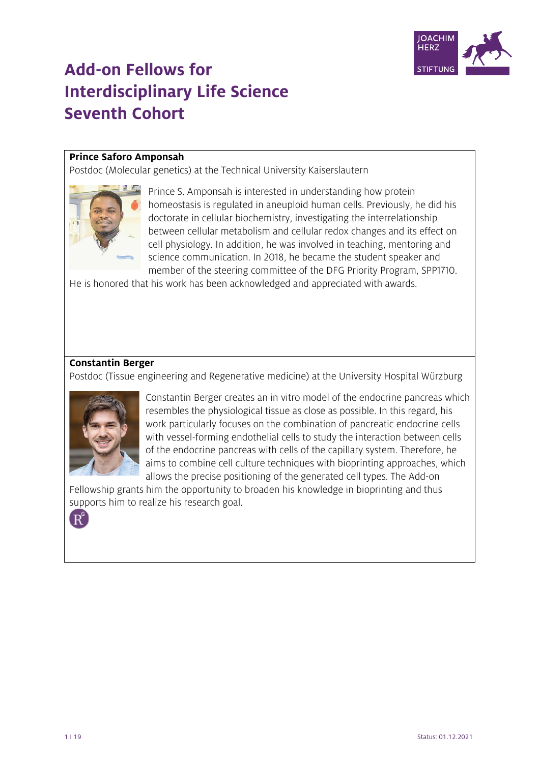

# **Add-on Fellows for Interdisciplinary Life Science Seventh Cohort**

#### **Prince Saforo Amponsah**

Postdoc (Molecular genetics) at the Technical University Kaiserslautern



Prince S. Amponsah is interested in understanding how protein homeostasis is regulated in aneuploid human cells. Previously, he did his doctorate in cellular biochemistry, investigating the interrelationship between cellular metabolism and cellular redox changes and its effect on cell physiology. In addition, he was involved in teaching, mentoring and science communication. In 2018, he became the student speaker and member of the steering committee of the DFG Priority Program, SPP1710.

He is honored that his work has been acknowledged and appreciated with awards.

## **Constantin Berger**

Postdoc (Tissue engineering and Regenerative medicine) at the University Hospital Würzburg



Constantin Berger creates an in vitro model of the endocrine pancreas which resembles the physiological tissue as close as possible. In this regard, his work particularly focuses on the combination of pancreatic endocrine cells with vessel-forming endothelial cells to study the interaction between cells of the endocrine pancreas with cells of the capillary system. Therefore, he aims to combine cell culture techniques with bioprinting approaches, which allows the precise positioning of the generated cell types. The Add-on

Fellowship grants him the opportunity to broaden his knowledge in bioprinting and thus supports him to realize his research goal.

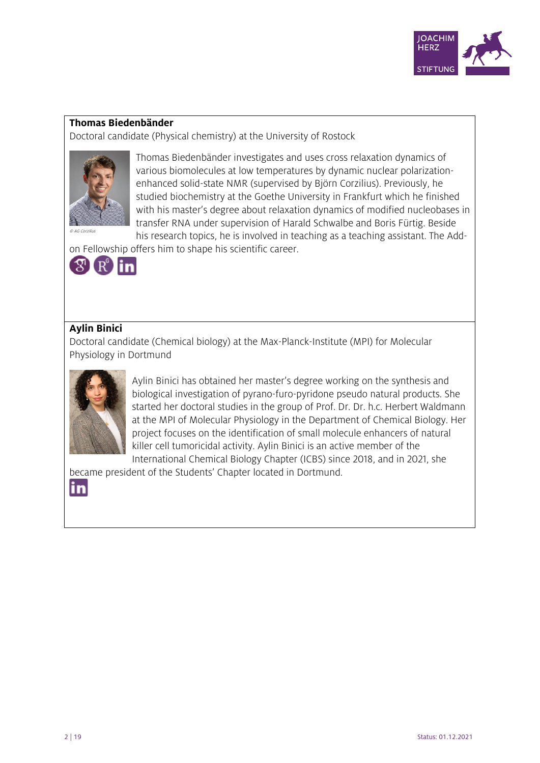

#### **Thomas Biedenbänder**

Doctoral candidate (Physical chemistry) at the University of Rostock



Thomas Biedenbänder investigates and uses cross relaxation dynamics of various biomolecules at low temperatures by dynamic nuclear polarizationenhanced solid-state NMR (supervised by Björn Corzilius). Previously, he studied biochemistry at the Goethe University in Frankfurt which he finished with his master's degree about relaxation dynamics of modified nucleobases in transfer RNA under supervision of Harald Schwalbe and Boris Fürtig. Beside his research topics, he is involved in teaching as a teaching assistant. The Add-

on Fellowship offers him to shape his scientific career.



## **Aylin Binici**

Doctoral candidate (Chemical biology) at the Max-Planck-Institute (MPI) for Molecular Physiology in Dortmund



Aylin Binici has obtained her master's degree working on the synthesis and biological investigation of pyrano-furo-pyridone pseudo natural products. She started her doctoral studies in the group of Prof. Dr. Dr. h.c. Herbert Waldmann at the MPI of Molecular Physiology in the Department of Chemical Biology. Her project focuses on the identification of small molecule enhancers of natural killer cell tumoricidal activity. Aylin Binici is an active member of the International Chemical Biology Chapter (ICBS) since 2018, and in 2021, she

became president of the Students' Chapter located in Dortmund.

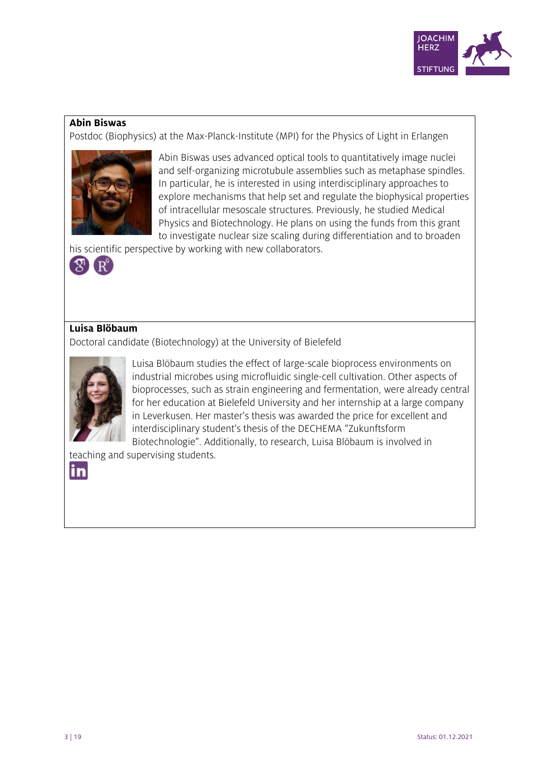

#### **Abin Biswas**

Postdoc (Biophysics) at the Max-Planck-Institute (MPI) for the Physics of Light in Erlangen



Abin Biswas uses advanced optical tools to quantitatively image nuclei and self-organizing microtubule assemblies such as metaphase spindles. In particular, he is interested in using interdisciplinary approaches to explore mechanisms that help set and regulate the biophysical properties of intracellular mesoscale structures. Previously, he studied Medical Physics and Biotechnology. He plans on using the funds from this grant to investigate nuclear size scaling during differentiation and to broaden

his scientific perspective by working with new collaborators.



# **Luisa Blöbaum**

Doctoral candidate (Biotechnology) at the University of Bielefeld



Luisa Blöbaum studies the effect of large-scale bioprocess environments on industrial microbes using microfluidic single-cell cultivation. Other aspects of bioprocesses, such as strain engineering and fermentation, were already central for her education at Bielefeld University and her internship at a large company in Leverkusen. Her master's thesis was awarded the price for excellent and interdisciplinary student's thesis of the DECHEMA "Zukunftsform Biotechnologie". Additionally, to research, Luisa Blöbaum is involved in

teaching and supervising students.

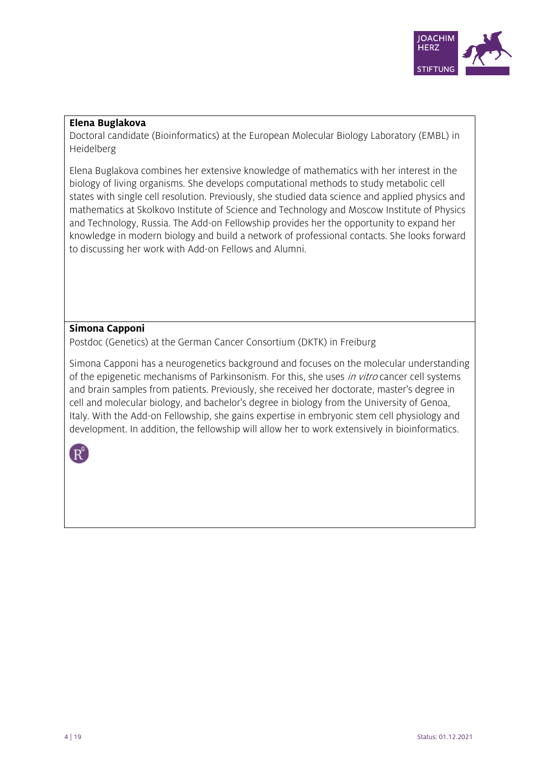

#### **Elena Buglakova**

Doctoral candidate (Bioinformatics) at the European Molecular Biology Laboratory (EMBL) in Heidelberg

Elena Buglakova combines her extensive knowledge of mathematics with her interest in the biology of living organisms. She develops computational methods to study metabolic cell states with single cell resolution. Previously, she studied data science and applied physics and mathematics at Skolkovo Institute of Science and Technology and Moscow Institute of Physics and Technology, Russia. The Add-on Fellowship provides her the opportunity to expand her knowledge in modern biology and build a network of professional contacts. She looks forward to discussing her work with Add-on Fellows and Alumni.

## **Simona Capponi**

Postdoc (Genetics) at the German Cancer Consortium (DKTK) in Freiburg

Simona Capponi has a neurogenetics background and focuses on the molecular understanding of the epigenetic mechanisms of Parkinsonism. For this, she uses in vitro cancer cell systems and brain samples from patients. Previously, she received her doctorate, master's degree in cell and molecular biology, and bachelor's degree in biology from the University of Genoa, Italy. With the Add-on Fellowship, she gains expertise in embryonic stem cell physiology and development. In addition, the fellowship will allow her to work extensively in bioinformatics.

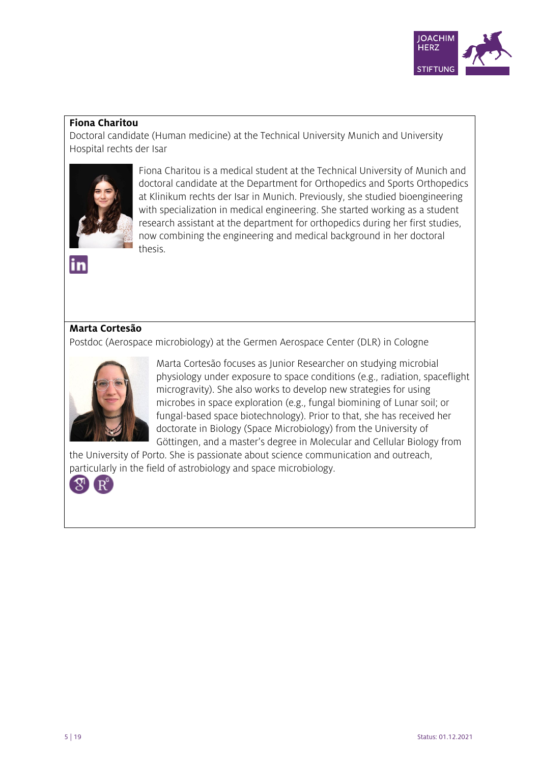

## **Fiona Charitou**

Doctoral candidate (Human medicine) at the Technical University Munich and University Hospital rechts der Isar



in

Fiona Charitou is a medical student at the Technical University of Munich and doctoral candidate at the Department for Orthopedics and Sports Orthopedics at Klinikum rechts der Isar in Munich. Previously, she studied bioengineering with specialization in medical engineering. She started working as a student research assistant at the department for orthopedics during her first studies, now combining the engineering and medical background in her doctoral thesis.



Postdoc (Aerospace microbiology) at the Germen Aerospace Center (DLR) in Cologne



Marta Cortesão focuses as Junior Researcher on studying microbial physiology under exposure to space conditions (e.g., radiation, spaceflight microgravity). She also works to develop new strategies for using microbes in space exploration (e.g., fungal biomining of Lunar soil; or fungal-based space biotechnology). Prior to that, she has received her doctorate in Biology (Space Microbiology) from the University of Göttingen, and a master's degree in Molecular and Cellular Biology from

the University of Porto. She is passionate about science communication and outreach, particularly in the field of astrobiology and space microbiology.

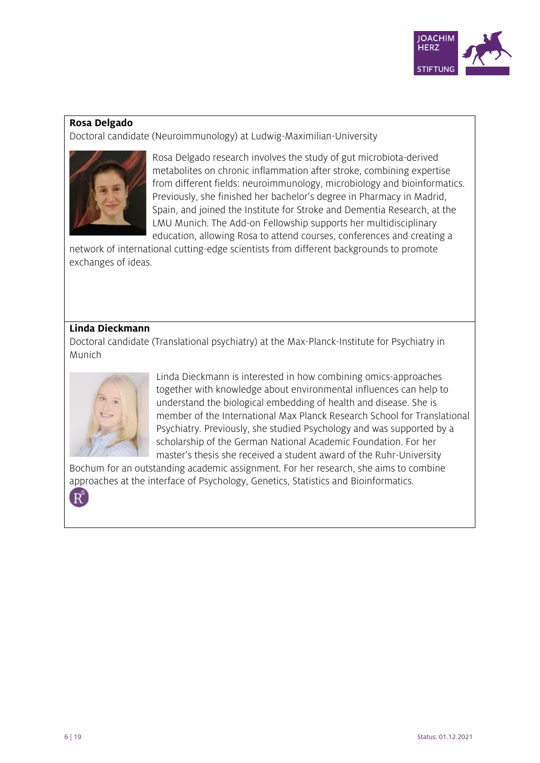

#### **Rosa Delgado**

Doctoral candidate (Neuroimmunology) at Ludwig-Maximilian-University



Rosa Delgado research involves the study of gut microbiota-derived metabolites on chronic inflammation after stroke, combining expertise from different fields: neuroimmunology, microbiology and bioinformatics. Previously, she finished her bachelor's degree in Pharmacy in Madrid, Spain, and joined the Institute for Stroke and Dementia Research, at the LMU Munich. The Add-on Fellowship supports her multidisciplinary education, allowing Rosa to attend courses, conferences and creating a

network of international cutting-edge scientists from different backgrounds to promote exchanges of ideas.

## **Linda Dieckmann**

Doctoral candidate (Translational psychiatry) at the Max-Planck-Institute for Psychiatry in Munich



Linda Dieckmann is interested in how combining omics-approaches together with knowledge about environmental influences can help to understand the biological embedding of health and disease. She is member of the International Max Planck Research School for Translational Psychiatry. Previously, she studied Psychology and was supported by a scholarship of the German National Academic Foundation. For her master's thesis she received a student award of the Ruhr-University

Bochum for an outstanding academic assignment. For her research, she aims to combine approaches at the interface of Psychology, Genetics, Statistics and Bioinformatics.

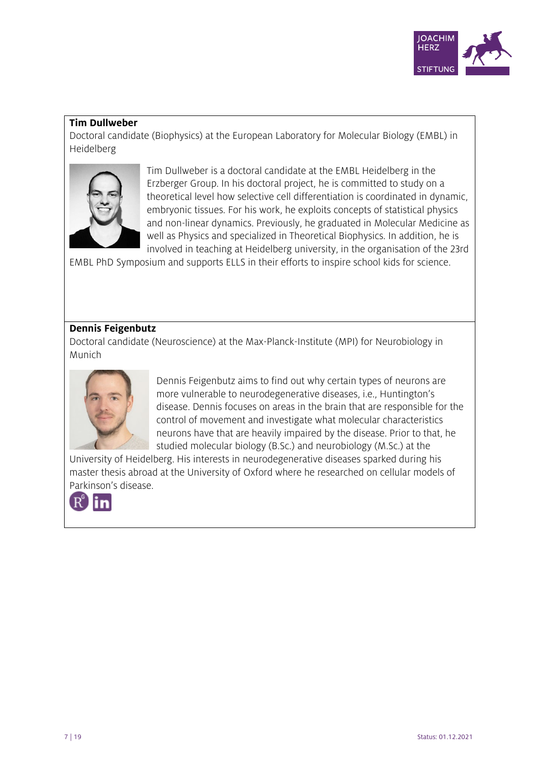

## **Tim Dullweber**

Doctoral candidate (Biophysics) at the European Laboratory for Molecular Biology (EMBL) in Heidelberg



Tim Dullweber is a doctoral candidate at the EMBL Heidelberg in the Erzberger Group. In his doctoral project, he is committed to study on a theoretical level how selective cell differentiation is coordinated in dynamic, embryonic tissues. For his work, he exploits concepts of statistical physics and non-linear dynamics. Previously, he graduated in Molecular Medicine as well as Physics and specialized in Theoretical Biophysics. In addition, he is involved in teaching at Heidelberg university, in the organisation of the 23rd

EMBL PhD Symposium and supports ELLS in their efforts to inspire school kids for science.

## **Dennis Feigenbutz**

Doctoral candidate (Neuroscience) at the Max-Planck-Institute (MPI) for Neurobiology in Munich



Dennis Feigenbutz aims to find out why certain types of neurons are more vulnerable to neurodegenerative diseases, i.e., Huntington's disease. Dennis focuses on areas in the brain that are responsible for the control of movement and investigate what molecular characteristics neurons have that are heavily impaired by the disease. Prior to that, he studied molecular biology (B.Sc.) and neurobiology (M.Sc.) at the

University of Heidelberg. His interests in neurodegenerative diseases sparked during his master thesis abroad at the University of Oxford where he researched on cellular models of Parkinson's disease.

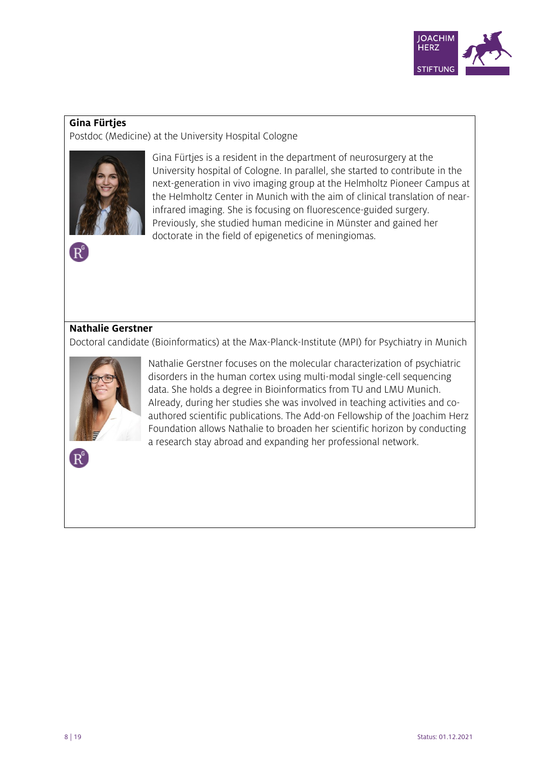

## **Gina Fürtjes**

Postdoc (Medicine) at the University Hospital Cologne



 $\left[\mathbf{R}^\mathsf{G}\right]$ 

Gina Fürtjes is a resident in the department of neurosurgery at the University hospital of Cologne. In parallel, she started to contribute in the next-generation in vivo imaging group at the Helmholtz Pioneer Campus at the Helmholtz Center in Munich with the aim of clinical translation of nearinfrared imaging. She is focusing on fluorescence-guided surgery. Previously, she studied human medicine in Münster and gained her doctorate in the field of epigenetics of meningiomas.

## **Nathalie Gerstner**

Doctoral candidate (Bioinformatics) at the Max-Planck-Institute (MPI) for Psychiatry in Munich



Nathalie Gerstner focuses on the molecular characterization of psychiatric disorders in the human cortex using multi-modal single-cell sequencing data. She holds a degree in Bioinformatics from TU and LMU Munich. Already, during her studies she was involved in teaching activities and coauthored scientific publications. The Add-on Fellowship of the Joachim Herz Foundation allows Nathalie to broaden her scientific horizon by conducting a research stay abroad and expanding her professional network.

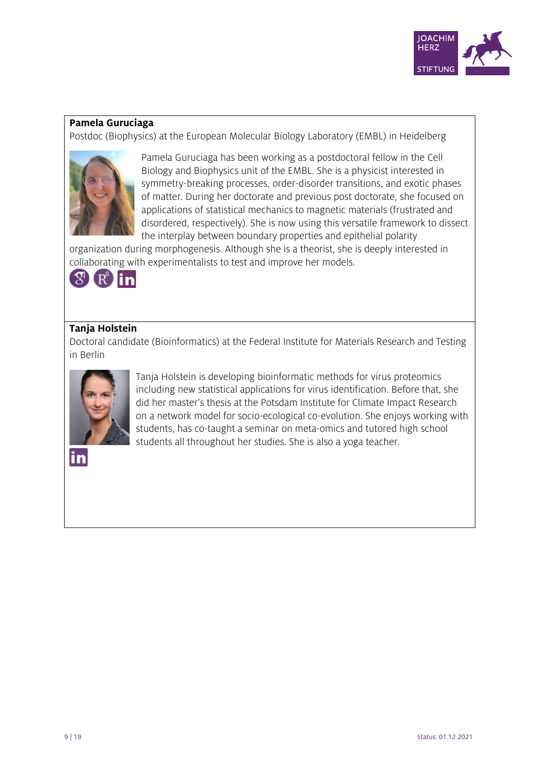

#### **Pamela Guruciaga**

Postdoc (Biophysics) at the European Molecular Biology Laboratory (EMBL) in Heidelberg



Pamela Guruciaga has been working as a postdoctoral fellow in the Cell Biology and Biophysics unit of the EMBL. She is a physicist interested in symmetry-breaking processes, order-disorder transitions, and exotic phases of matter. During her doctorate and previous post doctorate, she focused on applications of statistical mechanics to magnetic materials (frustrated and disordered, respectively). She is now using this versatile framework to dissect the interplay between boundary properties and epithelial polarity

organization during morphogenesis. Although she is a theorist, she is deeply interested in collaborating with experimentalists to test and improve her models.



# **Tanja Holstein**

Doctoral candidate (Bioinformatics) at the Federal Institute for Materials Research and Testing in Berlin



Tania Holstein is developing bioinformatic methods for virus proteomics including new statistical applications for virus identification. Before that, she did her master's thesis at the Potsdam Institute for Climate Impact Research on a network model for socio-ecological co-evolution. She enjoys working with students, has co-taught a seminar on meta-omics and tutored high school students all throughout her studies. She is also a yoga teacher.

9 | 19 Status: 01.12.2021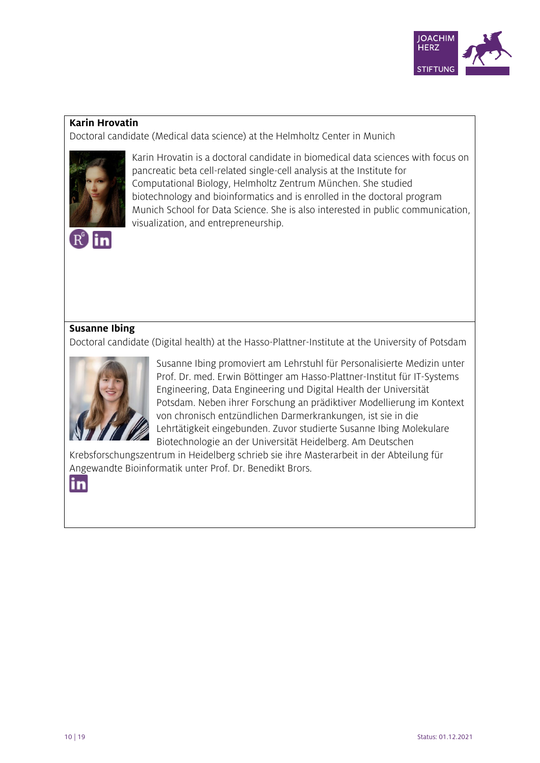

## **Karin Hrovatin**

Doctoral candidate (Medical data science) at the Helmholtz Center in Munich





Karin Hrovatin is a doctoral candidate in biomedical data sciences with focus on pancreatic beta cell-related single-cell analysis at the Institute for Computational Biology, Helmholtz Zentrum München. She studied biotechnology and bioinformatics and is enrolled in the doctoral program Munich School for Data Science. She is also interested in public communication, visualization, and entrepreneurship.

## **Susanne Ibing**

Doctoral candidate (Digital health) at the Hasso-Plattner-Institute at the University of Potsdam



Susanne Ibing promoviert am Lehrstuhl für Personalisierte Medizin unter Prof. Dr. med. Erwin Böttinger am Hasso-Plattner-Institut für IT-Systems Engineering, Data Engineering und Digital Health der Universität Potsdam. Neben ihrer Forschung an prädiktiver Modellierung im Kontext von chronisch entzündlichen Darmerkrankungen, ist sie in die Lehrtätigkeit eingebunden. Zuvor studierte Susanne Ibing Molekulare Biotechnologie an der Universität Heidelberg. Am Deutschen

Krebsforschungszentrum in Heidelberg schrieb sie ihre Masterarbeit in der Abteilung für Angewandte Bioinformatik unter Prof. Dr. Benedikt Brors.

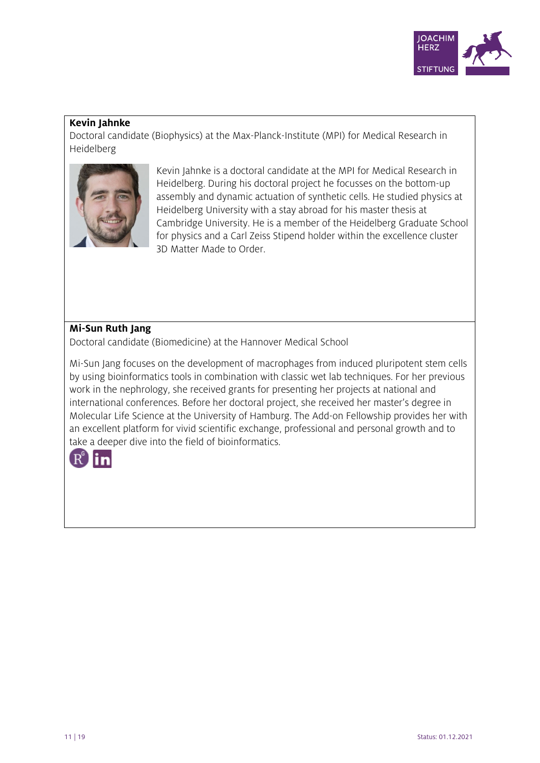

## **Kevin Jahnke**

Doctoral candidate (Biophysics) at the Max-Planck-Institute (MPI) for Medical Research in Heidelberg



Kevin Jahnke is a doctoral candidate at the MPI for Medical Research in Heidelberg. During his doctoral project he focusses on the bottom-up assembly and dynamic actuation of synthetic cells. He studied physics at Heidelberg University with a stay abroad for his master thesis at Cambridge University. He is a member of the Heidelberg Graduate School for physics and a Carl Zeiss Stipend holder within the excellence cluster 3D Matter Made to Order.

## **Mi-Sun Ruth Jang**

Doctoral candidate (Biomedicine) at the Hannover Medical School

Mi-Sun Jang focuses on the development of macrophages from induced pluripotent stem cells by using bioinformatics tools in combination with classic wet lab techniques. For her previous work in the nephrology, she received grants for presenting her projects at national and international conferences. Before her doctoral project, she received her master's degree in Molecular Life Science at the University of Hamburg. The Add-on Fellowship provides her with an excellent platform for vivid scientific exchange, professional and personal growth and to take a deeper dive into the field of bioinformatics.

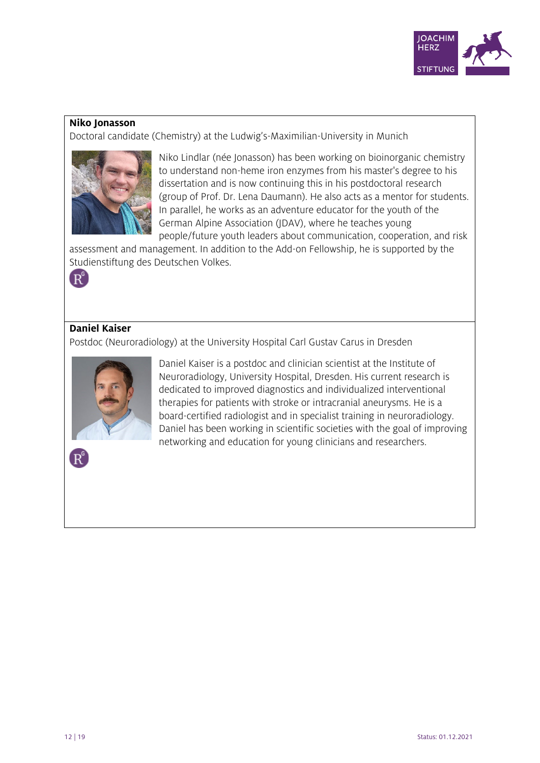

#### **Niko Jonasson**

Doctoral candidate (Chemistry) at the Ludwig's-Maximilian-University in Munich



Niko Lindlar (née Jonasson) has been working on bioinorganic chemistry to understand non-heme iron enzymes from his master's degree to his dissertation and is now continuing this in his postdoctoral research (group of Prof. Dr. Lena Daumann). He also acts as a mentor for students. In parallel, he works as an adventure educator for the youth of the German Alpine Association (JDAV), where he teaches young people/future youth leaders about communication, cooperation, and risk

assessment and management. In addition to the Add-on Fellowship, he is supported by the Studienstiftung des Deutschen Volkes.



## **Daniel Kaiser**

Postdoc (Neuroradiology) at the University Hospital Carl Gustav Carus in Dresden



Daniel Kaiser is a postdoc and clinician scientist at the Institute of Neuroradiology, University Hospital, Dresden. His current research is dedicated to improved diagnostics and individualized interventional therapies for patients with stroke or intracranial aneurysms. He is a board-certified radiologist and in specialist training in neuroradiology. Daniel has been working in scientific societies with the goal of improving networking and education for young clinicians and researchers.

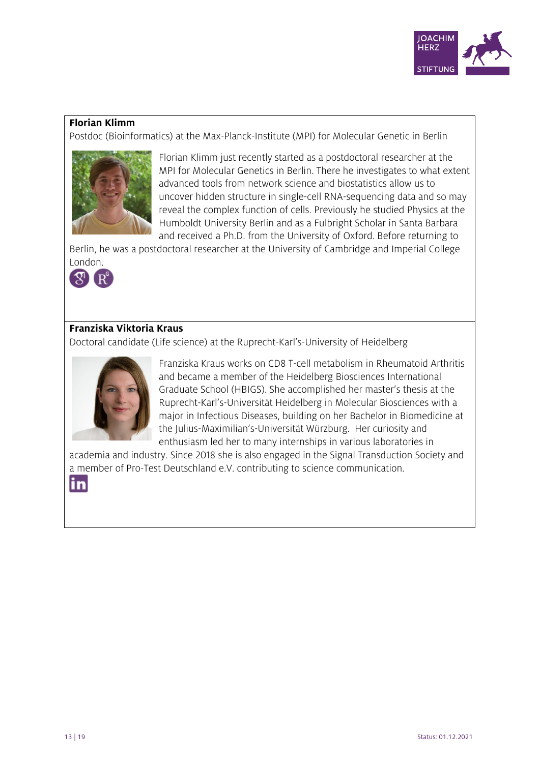

#### **Florian Klimm**

Postdoc (Bioinformatics) at the Max-Planck-Institute (MPI) for Molecular Genetic in Berlin



Florian Klimm just recently started as a postdoctoral researcher at the MPI for Molecular Genetics in Berlin. There he investigates to what extent advanced tools from network science and biostatistics allow us to uncover hidden structure in single-cell RNA-sequencing data and so may reveal the complex function of cells. Previously he studied Physics at the Humboldt University Berlin and as a Fulbright Scholar in Santa Barbara and received a Ph.D. from the University of Oxford. Before returning to

Berlin, he was a postdoctoral researcher at the University of Cambridge and Imperial College London.



## **Franziska Viktoria Kraus**

Doctoral candidate (Life science) at the Ruprecht-Karl's-University of Heidelberg



Franziska Kraus works on CD8 T-cell metabolism in Rheumatoid Arthritis and became a member of the Heidelberg Biosciences International Graduate School (HBIGS). She accomplished her master's thesis at the Ruprecht-Karl's-Universität Heidelberg in Molecular Biosciences with a major in Infectious Diseases, building on her Bachelor in Biomedicine at the Julius-Maximilian's-Universität Würzburg. Her curiosity and enthusiasm led her to many internships in various laboratories in

academia and industry. Since 2018 she is also engaged in the Signal Transduction Society and a member of Pro-Test Deutschland e.V. contributing to science communication.

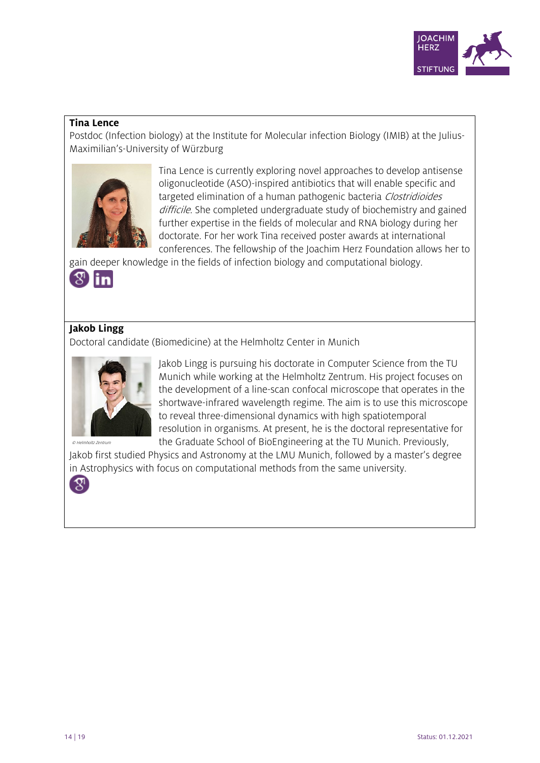

## **Tina Lence**

Postdoc (Infection biology) at the Institute for Molecular infection Biology (IMIB) at the Julius-Maximilian's-University of Würzburg



Tina Lence is currently exploring novel approaches to develop antisense oligonucleotide (ASO)-inspired antibiotics that will enable specific and targeted elimination of a human pathogenic bacteria Clostridioides difficile. She completed undergraduate study of biochemistry and gained further expertise in the fields of molecular and RNA biology during her doctorate. For her work Tina received poster awards at international conferences. The fellowship of the Joachim Herz Foundation allows her to

gain deeper knowledge in the fields of infection biology and computational biology.



# **Jakob Lingg**

Doctoral candidate (Biomedicine) at the Helmholtz Center in Munich



Jakob Lingg is pursuing his doctorate in Computer Science from the TU Munich while working at the Helmholtz Zentrum. His project focuses on the development of a line-scan confocal microscope that operates in the shortwave-infrared wavelength regime. The aim is to use this microscope to reveal three-dimensional dynamics with high spatiotemporal resolution in organisms. At present, he is the doctoral representative for the Graduate School of BioEngineering at the TU Munich. Previously,

Jakob first studied Physics and Astronomy at the LMU Munich, followed by a master's degree in Astrophysics with focus on computational methods from the same university.

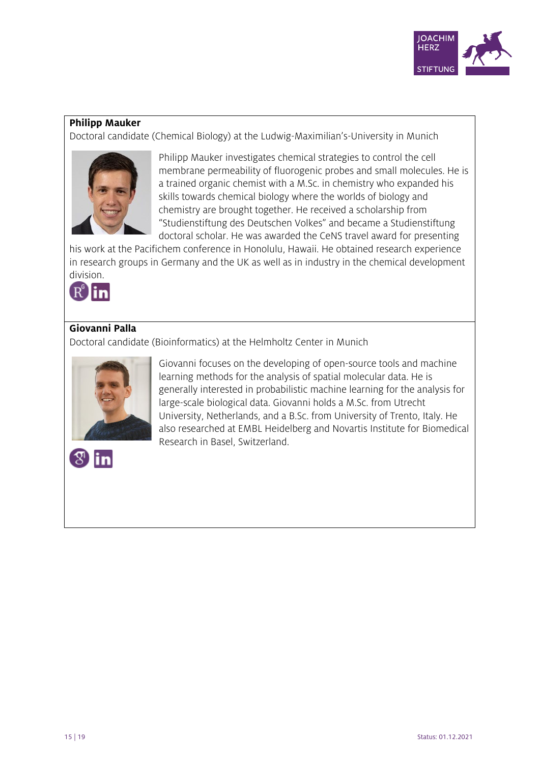

#### **Philipp Mauker**

Doctoral candidate (Chemical Biology) at the Ludwig-Maximilian's-University in Munich



Philipp Mauker investigates chemical strategies to control the cell membrane permeability of fluorogenic probes and small molecules. He is a trained organic chemist with a M.Sc. in chemistry who expanded his skills towards chemical biology where the worlds of biology and chemistry are brought together. He received a scholarship from "Studienstiftung des Deutschen Volkes" and became a Studienstiftung doctoral scholar. He was awarded the CeNS travel award for presenting

his work at the Pacifichem conference in Honolulu, Hawaii. He obtained research experience in research groups in Germany and the UK as well as in industry in the chemical development division.



# **Giovanni Palla**

Doctoral candidate (Bioinformatics) at the Helmholtz Center in Munich



Giovanni focuses on the developing of open-source tools and machine learning methods for the analysis of spatial molecular data. He is generally interested in probabilistic machine learning for the analysis for large-scale biological data. Giovanni holds a M.Sc. from Utrecht University, Netherlands, and a B.Sc. from University of Trento, Italy. He also researched at EMBL Heidelberg and Novartis Institute for Biomedical Research in Basel, Switzerland.

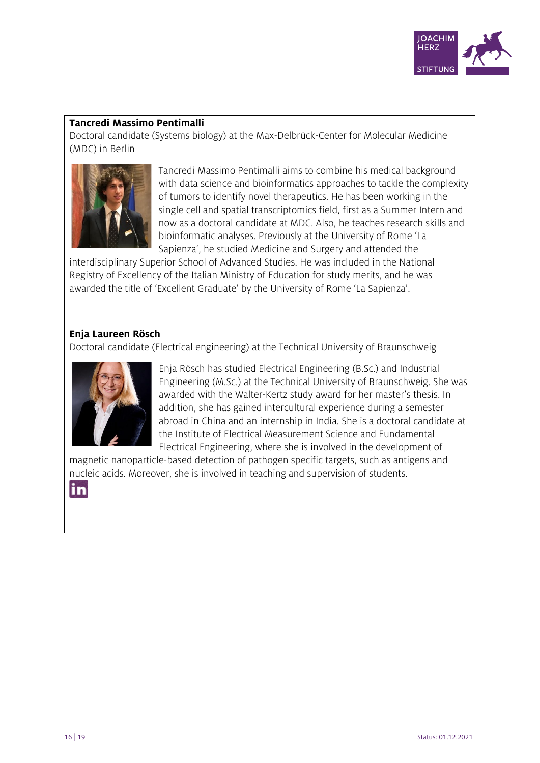

#### **Tancredi Massimo Pentimalli**

Doctoral candidate (Systems biology) at the Max-Delbrück-Center for Molecular Medicine (MDC) in Berlin



Tancredi Massimo Pentimalli aims to combine his medical background with data science and bioinformatics approaches to tackle the complexity of tumors to identify novel therapeutics. He has been working in the single cell and spatial transcriptomics field, first as a Summer Intern and now as a doctoral candidate at MDC. Also, he teaches research skills and bioinformatic analyses. Previously at the University of Rome 'La Sapienza', he studied Medicine and Surgery and attended the

interdisciplinary Superior School of Advanced Studies. He was included in the National Registry of Excellency of the Italian Ministry of Education for study merits, and he was awarded the title of 'Excellent Graduate' by the University of Rome 'La Sapienza'.

## **Enja Laureen Rösch**

Doctoral candidate (Electrical engineering) at the Technical University of Braunschweig



Enja Rösch has studied Electrical Engineering (B.Sc.) and Industrial Engineering (M.Sc.) at the Technical University of Braunschweig. She was awarded with the Walter-Kertz study award for her master's thesis. In addition, she has gained intercultural experience during a semester abroad in China and an internship in India. She is a doctoral candidate at the Institute of Electrical Measurement Science and Fundamental Electrical Engineering, where she is involved in the development of

magnetic nanoparticle-based detection of pathogen specific targets, such as antigens and nucleic acids. Moreover, she is involved in teaching and supervision of students.

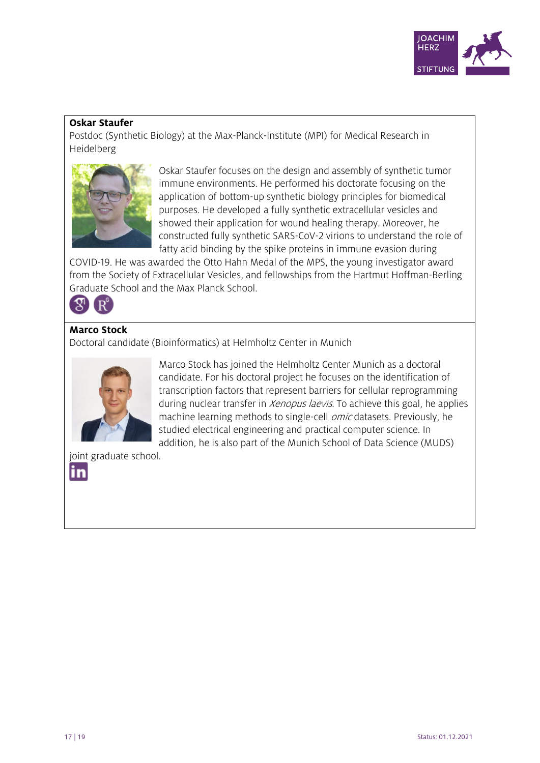

#### **Oskar Staufer**

Postdoc (Synthetic Biology) at the Max-Planck-Institute (MPI) for Medical Research in Heidelberg



Oskar Staufer focuses on the design and assembly of synthetic tumor immune environments. He performed his doctorate focusing on the application of bottom-up synthetic biology principles for biomedical purposes. He developed a fully synthetic extracellular vesicles and showed their application for wound healing therapy. Moreover, he constructed fully synthetic SARS-CoV-2 virions to understand the role of fatty acid binding by the spike proteins in immune evasion during

COVID-19. He was awarded the Otto Hahn Medal of the MPS, the young investigator award from the Society of Extracellular Vesicles, and fellowships from the Hartmut Hoffman-Berling Graduate School and the Max Planck School.



# **Marco Stock**

Doctoral candidate (Bioinformatics) at Helmholtz Center in Munich



Marco Stock has joined the Helmholtz Center Munich as a doctoral candidate. For his doctoral project he focuses on the identification of transcription factors that represent barriers for cellular reprogramming during nuclear transfer in *Xenopus laevis*. To achieve this goal, he applies machine learning methods to single-cell omic datasets. Previously, he studied electrical engineering and practical computer science. In addition, he is also part of the Munich School of Data Science (MUDS)

joint graduate school.

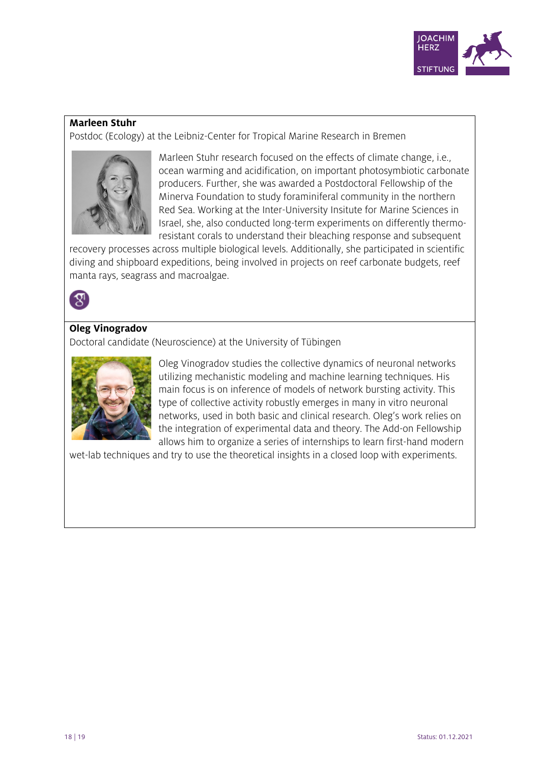

#### **Marleen Stuhr**

Postdoc (Ecology) at the Leibniz-Center for Tropical Marine Research in Bremen



Marleen Stuhr research focused on the effects of climate change, i.e., ocean warming and acidification, on important photosymbiotic carbonate producers. Further, she was awarded a Postdoctoral Fellowship of the Minerva Foundation to study foraminiferal community in the northern Red Sea. Working at the Inter-University Insitute for Marine Sciences in Israel, she, also conducted long-term experiments on differently thermoresistant corals to understand their bleaching response and subsequent

recovery processes across multiple biological levels. Additionally, she participated in scientific diving and shipboard expeditions, being involved in projects on reef carbonate budgets, reef manta rays, seagrass and macroalgae.



## **Oleg Vinogradov**

Doctoral candidate (Neuroscience) at the University of Tübingen



Oleg Vinogradov studies the collective dynamics of neuronal networks utilizing mechanistic modeling and machine learning techniques. His main focus is on inference of models of network bursting activity. This type of collective activity robustly emerges in many in vitro neuronal networks, used in both basic and clinical research. Oleg's work relies on the integration of experimental data and theory. The Add-on Fellowship allows him to organize a series of internships to learn first-hand modern

wet-lab techniques and try to use the theoretical insights in a closed loop with experiments.